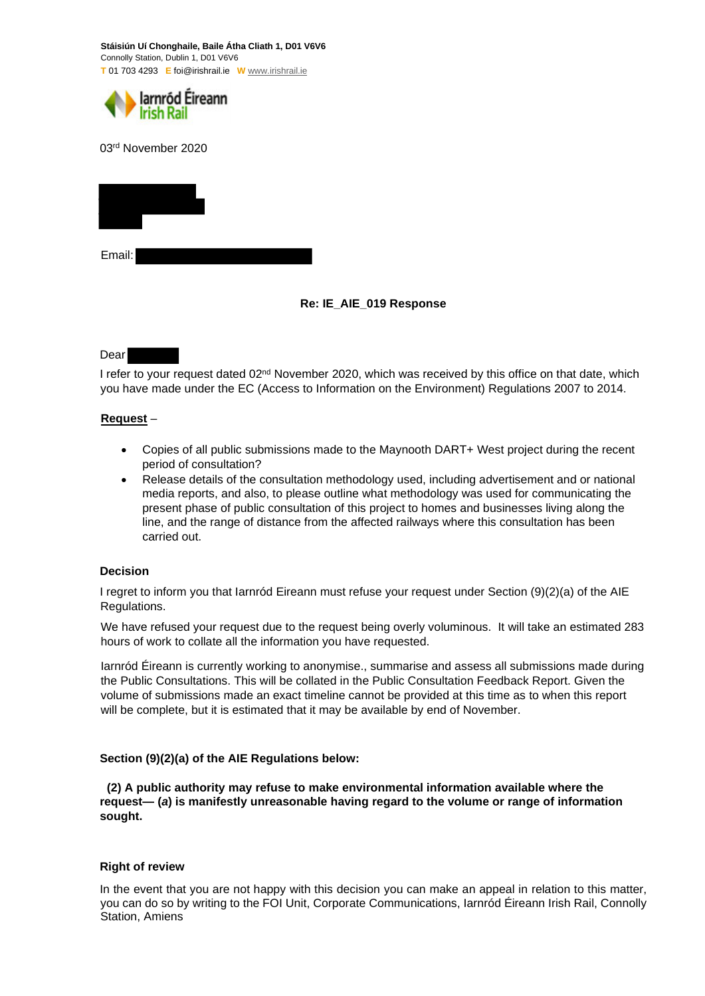**Stáisiún Uí Chonghaile, Baile Átha Cliath 1, D01 V6V6**  Connolly Station, Dublin 1, D01 V6V6 **T** 01 703 4293 **E** foi@irishrail.ie **W** www.irishrail.ie



03rd November 2020



# **Re: IE\_AIE\_019 Response**

## Dear

I refer to your request dated 02<sup>nd</sup> November 2020, which was received by this office on that date, which you have made under the EC (Access to Information on the Environment) Regulations 2007 to 2014.

## **Request** –

- Copies of all public submissions made to the Maynooth DART+ West project during the recent period of consultation?
- Release details of the consultation methodology used, including advertisement and or national media reports, and also, to please outline what methodology was used for communicating the present phase of public consultation of this project to homes and businesses living along the line, and the range of distance from the affected railways where this consultation has been carried out.

## **Decision**

I regret to inform you that Iarnród Eireann must refuse your request under Section (9)(2)(a) of the AIE Regulations.

We have refused your request due to the request being overly voluminous. It will take an estimated 283 hours of work to collate all the information you have requested.

Iarnród Éireann is currently working to anonymise., summarise and assess all submissions made during the Public Consultations. This will be collated in the Public Consultation Feedback Report. Given the volume of submissions made an exact timeline cannot be provided at this time as to when this report will be complete, but it is estimated that it may be available by end of November.

## **Section (9)(2)(a) of the AIE Regulations below:**

**(2) A public authority may refuse to make environmental information available where the request— (***a***) is manifestly unreasonable having regard to the volume or range of information sought.** 

## **Right of review**

In the event that you are not happy with this decision you can make an appeal in relation to this matter, you can do so by writing to the FOI Unit, Corporate Communications, Iarnród Éireann Irish Rail, Connolly Station, Amiens